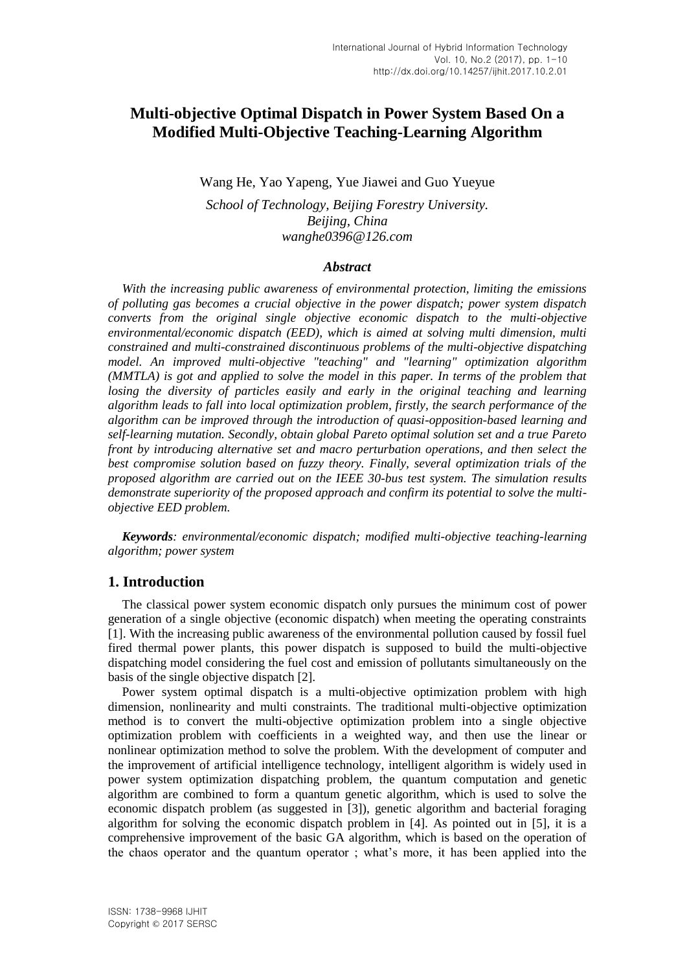# **Multi-objective Optimal Dispatch in Power System Based On a Modified Multi-Objective Teaching-Learning Algorithm**

Wang He, Yao Yapeng, Yue Jiawei and Guo Yueyue

*School of Technology, Beijing Forestry University. Beijing, China wanghe0396@126.com*

### *Abstract*

*With the increasing public awareness of environmental protection, limiting the emissions of polluting gas becomes a crucial objective in the power dispatch; power system dispatch converts from the original single objective economic dispatch to the multi-objective environmental/economic dispatch (EED), which is aimed at solving multi dimension, multi constrained and multi-constrained discontinuous problems of the multi-objective dispatching model. An improved multi-objective "teaching" and "learning" optimization algorithm (MMTLA) is got and applied to solve the model in this paper. In terms of the problem that losing the diversity of particles easily and early in the original teaching and learning algorithm leads to fall into local optimization problem, firstly, the search performance of the algorithm can be improved through the introduction of quasi-opposition-based learning and self-learning mutation. Secondly, obtain global Pareto optimal solution set and a true Pareto front by introducing alternative set and macro perturbation operations, and then select the best compromise solution based on fuzzy theory. Finally, several optimization trials of the proposed algorithm are carried out on the IEEE 30-bus test system. The simulation results demonstrate superiority of the proposed approach and confirm its potential to solve the multiobjective EED problem.*

*Keywords: environmental/economic dispatch; modified multi-objective teaching-learning algorithm; power system*

# **1. Introduction**

The classical power system economic dispatch only pursues the minimum cost of power generation of a single objective (economic dispatch) when meeting the operating constraints [1]. With the increasing public awareness of the environmental pollution caused by fossil fuel fired thermal power plants, this power dispatch is supposed to build the multi-objective dispatching model considering the fuel cost and emission of pollutants simultaneously on the basis of the single objective dispatch [2].

Power system optimal dispatch is a multi-objective optimization problem with high dimension, nonlinearity and multi constraints. The traditional multi-objective optimization method is to convert the multi-objective optimization problem into a single objective optimization problem with coefficients in a weighted way, and then use the linear or nonlinear optimization method to solve the problem. With the development of computer and the improvement of artificial intelligence technology, intelligent algorithm is widely used in power system optimization dispatching problem, the quantum computation and genetic algorithm are combined to form a quantum genetic algorithm, which is used to solve the economic dispatch problem (as suggested in [3]), genetic algorithm and bacterial foraging algorithm for solving the economic dispatch problem in [4]. As pointed out in [5], it is a comprehensive improvement of the basic GA algorithm, which is based on the operation of the chaos operator and the quantum operator ; what's more, it has been applied into the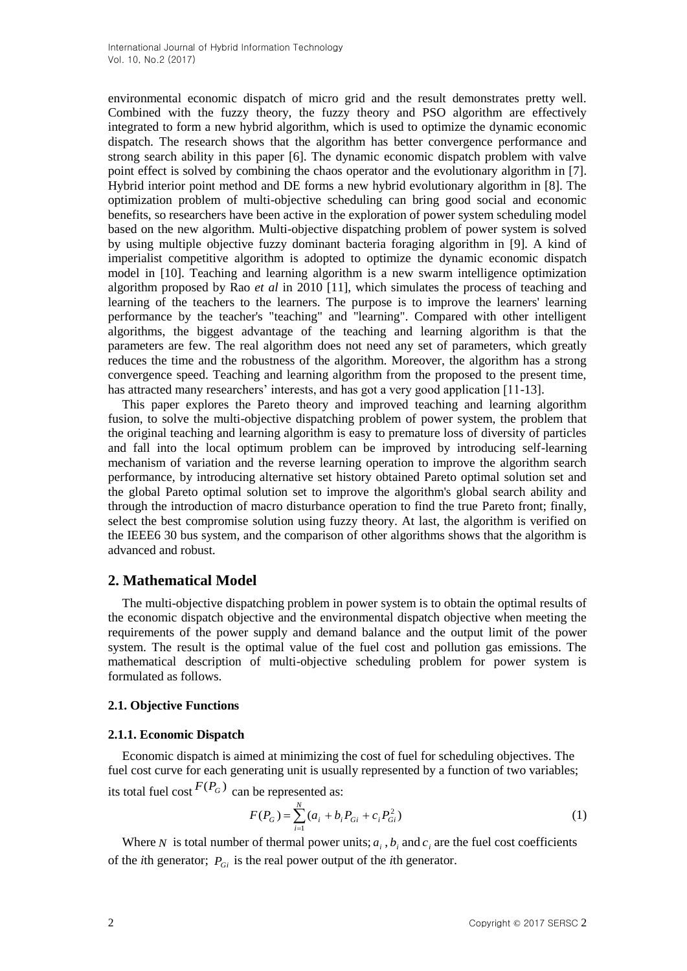environmental economic dispatch of micro grid and the result demonstrates pretty well. Combined with the fuzzy theory, the fuzzy theory and PSO algorithm are effectively integrated to form a new hybrid algorithm, which is used to optimize the dynamic economic dispatch. The research shows that the algorithm has better convergence performance and strong search ability in this paper [6]. The dynamic economic dispatch problem with valve point effect is solved by combining the chaos operator and the evolutionary algorithm in [7]. Hybrid interior point method and DE forms a new hybrid evolutionary algorithm in [8]. The optimization problem of multi-objective scheduling can bring good social and economic benefits, so researchers have been active in the exploration of power system scheduling model based on the new algorithm. Multi-objective dispatching problem of power system is solved by using multiple objective fuzzy dominant bacteria foraging algorithm in [9]. A kind of imperialist competitive algorithm is adopted to optimize the dynamic economic dispatch model in [10]. Teaching and learning algorithm is a new swarm intelligence optimization algorithm proposed by Rao *et al* in 2010 [11], which simulates the process of teaching and learning of the teachers to the learners. The purpose is to improve the learners' learning performance by the teacher's "teaching" and "learning". Compared with other intelligent algorithms, the biggest advantage of the teaching and learning algorithm is that the parameters are few. The real algorithm does not need any set of parameters, which greatly reduces the time and the robustness of the algorithm. Moreover, the algorithm has a strong convergence speed. Teaching and learning algorithm from the proposed to the present time, has attracted many researchers' interests, and has got a very good application [11-13].

This paper explores the Pareto theory and improved teaching and learning algorithm fusion, to solve the multi-objective dispatching problem of power system, the problem that the original teaching and learning algorithm is easy to premature loss of diversity of particles and fall into the local optimum problem can be improved by introducing self-learning mechanism of variation and the reverse learning operation to improve the algorithm search performance, by introducing alternative set history obtained Pareto optimal solution set and the global Pareto optimal solution set to improve the algorithm's global search ability and through the introduction of macro disturbance operation to find the true Pareto front; finally, select the best compromise solution using fuzzy theory. At last, the algorithm is verified on the IEEE6 30 bus system, and the comparison of other algorithms shows that the algorithm is advanced and robust.

# **2. Mathematical Model**

The multi-objective dispatching problem in power system is to obtain the optimal results of the economic dispatch objective and the environmental dispatch objective when meeting the requirements of the power supply and demand balance and the output limit of the power system. The result is the optimal value of the fuel cost and pollution gas emissions. The mathematical description of multi-objective scheduling problem for power system is formulated as follows.

# **2.1. Objective Functions**

# **2.1.1. Economic Dispatch**

Economic dispatch is aimed at minimizing the cost of fuel for scheduling objectives. The fuel cost curve for each generating unit is usually represented by a function of two variables; its total fuel cost  $F(P_G)$  can be represented as:

$$
F(P_G) = \sum_{i=1}^{N} (a_i + b_i P_{Gi} + c_i P_{Gi}^2)
$$
 (1)

Where N is total number of thermal power units;  $a_i$ ,  $b_i$  and  $c_i$  are the fuel cost coefficients of the *i*th generator; *PGi* is the real power output of the *i*th generator.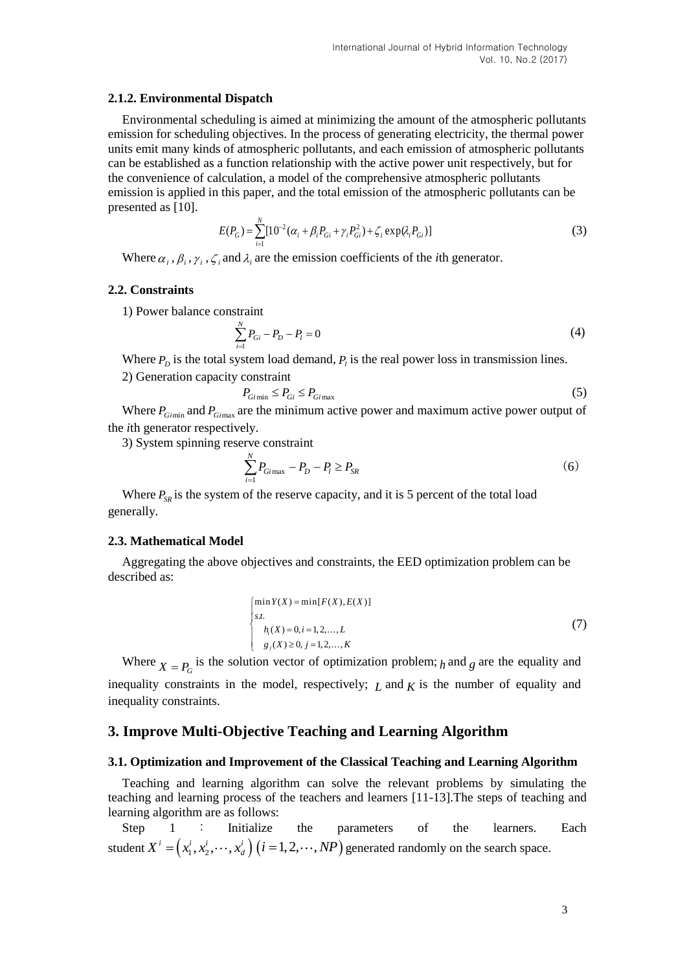### **2.1.2. Environmental Dispatch**

Environmental scheduling is aimed at minimizing the amount of the atmospheric pollutants emission for scheduling objectives. In the process of generating electricity, the thermal power units emit many kinds of atmospheric pollutants, and each emission of atmospheric pollutants can be established as a function relationship with the active power unit respectively, but for the convenience of calculation, a model of the comprehensive atmospheric pollutants emission is applied in this paper, and the total emission of the atmospheric pollutants can be presented as [10].

$$
E(P_G) = \sum_{i=1}^{N} [10^{-2} (\alpha_i + \beta_i P_{Gi} + \gamma_i P_{Gi}^2) + \zeta_i \exp(\lambda_i P_{Gi})]
$$
(3)

Where  $\alpha_i$ ,  $\beta_i$ ,  $\gamma_i$ ,  $\zeta_i$  and  $\lambda_i$  are the emission coefficients of the *i*th generator.

#### **2.2. Constraints**

1) Power balance constraint

$$
\sum_{i=1}^{N} P_{Gi} - P_D - P_l = 0 \tag{4}
$$

Where  $P_D$  is the total system load demand,  $P_i$  is the real power loss in transmission lines.

2) Generation capacity constraint

$$
P_{G\text{fmin}} \le P_{G\text{f}} \le P_{G\text{imax}} \tag{5}
$$

Where  $P_{Gimin}$  and  $P_{Gimax}$  are the minimum active power and maximum active power output of the *i*th generator respectively.

3) System spinning reserve constraint

$$
\sum_{i=1}^{N} P_{Gimax} - P_D - P_l \ge P_{SR}
$$
 (6)

Where  $P_{SR}$  is the system of the reserve capacity, and it is 5 percent of the total load generally.

### **2.3. Mathematical Model**

Aggregating the above objectives and constraints, the EED optimization problem can be described as:

$$
\begin{cases}\n\min Y(X) = \min [F(X), E(X)] \\
s.t. \\
h_i(X) = 0, i = 1, 2, ..., L \\
g_j(X) \ge 0, j = 1, 2, ..., K\n\end{cases}
$$
\n(7)

Where  $X = P_G$  is the solution vector of optimization problem; *h* and *g* are the equality and inequality constraints in the model, respectively;  $L$  and  $K$  is the number of equality and inequality constraints.

### **3. Improve Multi-Objective Teaching and Learning Algorithm**

#### **3.1. Optimization and Improvement of the Classical Teaching and Learning Algorithm**

Teaching and learning algorithm can solve the relevant problems by simulating the teaching and learning process of the teachers and learners [11-13].The steps of teaching and learning algorithm are as follows:

Step 1 : Initialize the parameters of the learners. Each student  $X^i = (x_1^i, x_2^i, \dots, x_d^i)$   $(i = 1, 2, \dots, NP)$  generated randomly on the search space.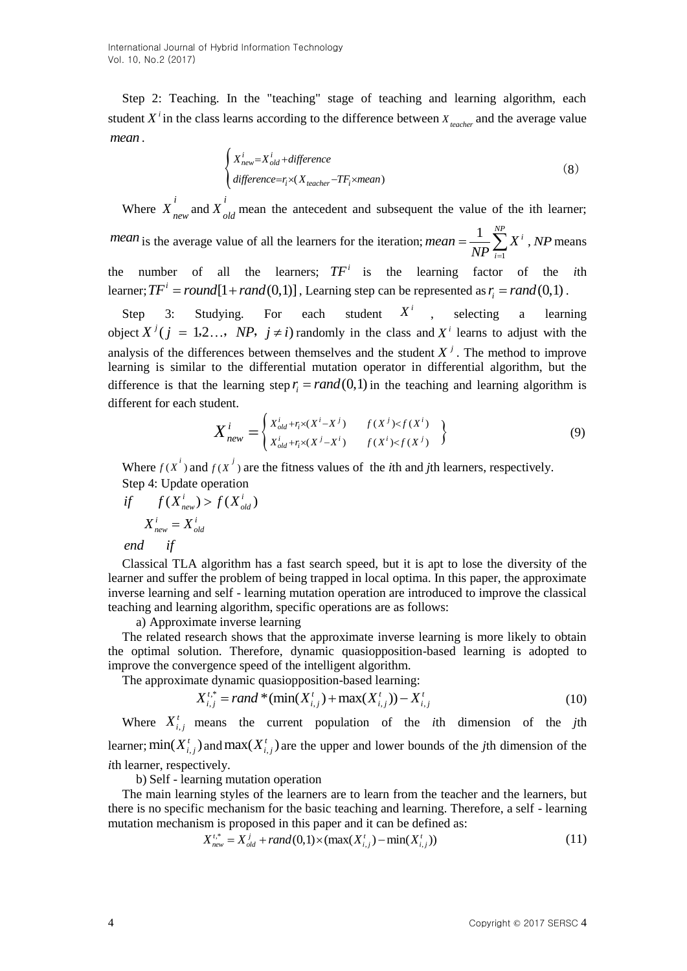International Journal of Hybrid Information Technology Vol. 10, No.2 (2017)

Step 2: Teaching. In the "teaching" stage of teaching and learning algorithm, each student  $X^i$  in the class learns according to the difference between  $X_{\text{teacher}}$  and the average value *mean* .

$$
\begin{cases}\nX_{new}^{i} = X_{old}^{i} + difference \\
\ndifference = r_i \times (X_{teacher} - TF_i \times mean)\n\end{cases}
$$
\n(8)

Where  $X^i$  $X_{new}^{i}$  and  $X_{old}^{i}$  mean the antecedent and subsequent the value of the ith learner; *mean* is the average value of all the learners for the iteration; 1  $1 \sum_{i=1}^{N} v_i$ *i mean* =  $\frac{1}{\lambda}$ **X**  $=\frac{1}{NP}\sum_{i=1}^{N}X^{i}$ , *NP* means the number of all the learners;  $TF<sup>i</sup>$  is the learning factor of the *i*th learner;  $TF^i = round[1 + rand(0,1)]$ , Learning step can be represented as  $r_i = rand(0,1)$ .

Step 3: Studying. For each  $X^i$ , selecting a learning object  $X^{j}$  ( $j = 1,2...$ , NP,  $j \neq i$ ) randomly in the class and  $X^{i}$  learns to adjust with the analysis of the differences between themselves and the student  $X<sup>j</sup>$ . The method to improve learning is similar to the differential mutation operator in differential algorithm, but the difference is that the learning step  $r_i = rand(0,1)$  in the teaching and learning algorithm is different for each student.

$$
X_{new}^{i} = \begin{cases} X_{old}^{i} + r_{i} \times (X^{i} - X^{j}) & f(X^{j}) & f(X^{i}) \\ X_{old}^{i} + r_{i} \times (X^{j} - X^{i}) & f(X^{i}) & f(X^{j}) \end{cases}
$$
 (9)

Where  $f(x^i)$  and  $f(x^j)$  are the fitness values of the *i*th and *j*th learners, respectively.

Step 4: Update operation  
\nif 
$$
f(X_{new}^i) > f(X_{old}^i)
$$
  
\n $X_{new}^i = X_{old}^i$ 

*end if*

Classical TLA algorithm has a fast search speed, but it is apt to lose the diversity of the learner and suffer the problem of being trapped in local optima. In this paper, the approximate inverse learning and self - learning mutation operation are introduced to improve the classical teaching and learning algorithm, specific operations are as follows:

a) Approximate inverse learning

The related research shows that the approximate inverse learning is more likely to obtain the optimal solution. Therefore, dynamic quasiopposition-based learning is adopted to improve the convergence speed of the intelligent algorithm.

The approximate dynamic quasipposition-based learning:  
\n
$$
X_{i,j}^{t,*} = rand^*(\min(X_{i,j}^t) + \max(X_{i,j}^t)) - X_{i,j}^t
$$
\n(10)

Where  $X_{i,j}^t$  means the current population of the *i*th dimension of the *j*th learner;  $\min(X_{i,j}^t)$  and  $\max(X_{i,j}^t)$  are the upper and lower bounds of the *j*th dimension of the *i*th learner, respectively.

b) Self - learning mutation operation

The main learning styles of the learners are to learn from the teacher and the learners, but there is no specific mechanism for the basic teaching and learning. Therefore, a self - learning mutation mechanism is proposed in this paper and it can be defined as:<br> $X_{\text{new}}^{t,*} = X_{\text{old}}^j + \text{rand}(0,1) \times (\max(X_{i,j}^t) - \min(X_{i,j}^t))$ 

$$
X_{new}^{t,*} = X_{old}^{j} + rand(0,1) \times (max(X_{i,j}^{t}) - min(X_{i,j}^{t}))
$$
\n(11)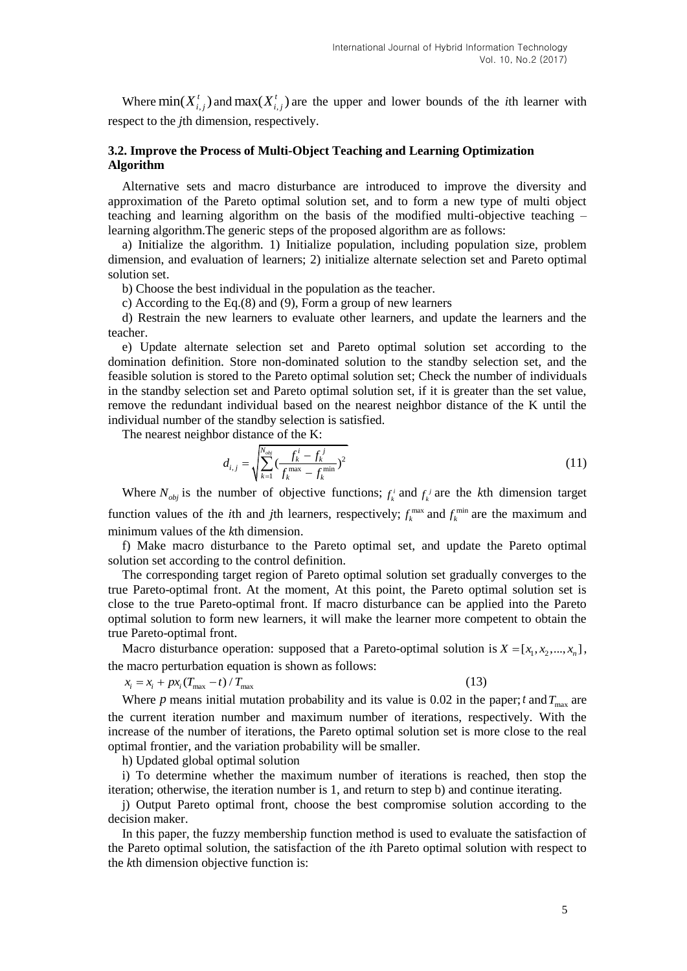Where  $\min(X_{i,j}^t)$  and  $\max(X_{i,j}^t)$  are the upper and lower bounds of the *i*th learner with respect to the *j*th dimension, respectively.

# **3.2. Improve the Process of Multi-Object Teaching and Learning Optimization Algorithm**

Alternative sets and macro disturbance are introduced to improve the diversity and approximation of the Pareto optimal solution set, and to form a new type of multi object teaching and learning algorithm on the basis of the modified multi-objective teaching – learning algorithm.The generic steps of the proposed algorithm are as follows:

a) Initialize the algorithm. 1) Initialize population, including population size, problem dimension, and evaluation of learners; 2) initialize alternate selection set and Pareto optimal solution set.

b) Choose the best individual in the population as the teacher.

c) According to the Eq.(8) and (9), Form a group of new learners

d) Restrain the new learners to evaluate other learners, and update the learners and the teacher.

e) Update alternate selection set and Pareto optimal solution set according to the domination definition. Store non-dominated solution to the standby selection set, and the feasible solution is stored to the Pareto optimal solution set; Check the number of individuals in the standby selection set and Pareto optimal solution set, if it is greater than the set value, remove the redundant individual based on the nearest neighbor distance of the K until the individual number of the standby selection is satisfied.

The nearest neighbor distance of the K:

$$
d_{i,j} = \sqrt{\sum_{k=1}^{N_{obj}} \left(\frac{f_k^i - f_k^j}{f_k^{\max} - f_k^{\min}}\right)^2}
$$
 (11)

Where  $N_{obj}$  is the number of objective functions;  $f_k^i$  and  $f_k^j$  are the *k*th dimension target function values of the *i*th and *j*th learners, respectively;  $f_k^{\text{max}}$  and  $f_k^{\text{min}}$  are the maximum and minimum values of the *k*th dimension.

f) Make macro disturbance to the Pareto optimal set, and update the Pareto optimal solution set according to the control definition.

The corresponding target region of Pareto optimal solution set gradually converges to the true Pareto-optimal front. At the moment, At this point, the Pareto optimal solution set is close to the true Pareto-optimal front. If macro disturbance can be applied into the Pareto optimal solution to form new learners, it will make the learner more competent to obtain the true Pareto-optimal front.

Macro disturbance operation: supposed that a Pareto-optimal solution is  $X = [x_1, x_2, ..., x_n]$ , the macro perturbation equation is shown as follows:

 $x_i = x_i + px_i (T_{\text{max}} - t) / T_{\text{max}}$ 

(13)

Where p means initial mutation probability and its value is 0.02 in the paper; t and  $T_{\text{max}}$  are the current iteration number and maximum number of iterations, respectively. With the increase of the number of iterations, the Pareto optimal solution set is more close to the real optimal frontier, and the variation probability will be smaller.

h) Updated global optimal solution

i) To determine whether the maximum number of iterations is reached, then stop the iteration; otherwise, the iteration number is 1, and return to step b) and continue iterating.

j) Output Pareto optimal front, choose the best compromise solution according to the decision maker.

In this paper, the fuzzy membership function method is used to evaluate the satisfaction of the Pareto optimal solution, the satisfaction of the *i*th Pareto optimal solution with respect to the *k*th dimension objective function is: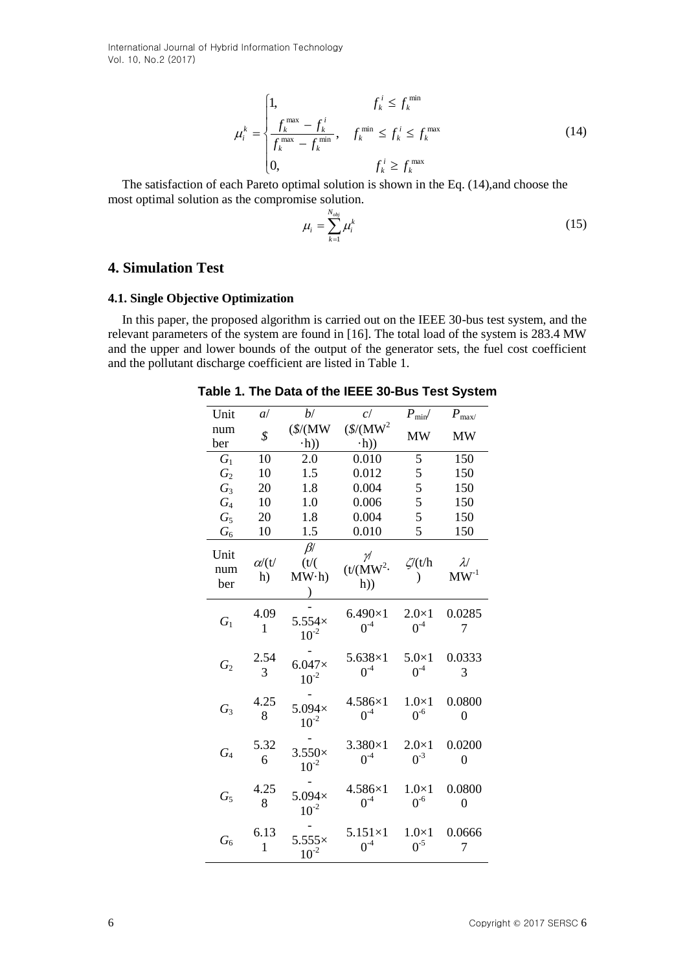International Journal of Hybrid Information Technology Vol. 10, No.2 (2017)

$$
\mu_i^k = \begin{cases}\n1, & f_k^i \le f_k^{\min} \\
\frac{f_k^{\max} - f_k^i}{f_k^{\max} - f_k^{\min}}, & f_k^{\min} \le f_k^i \le f_k^{\max} \\
0, & f_k^i \ge f_k^{\max}\n\end{cases}
$$
\n(14)

The satisfaction of each Pareto optimal solution is shown in the Eq. (14),and choose the most optimal solution as the compromise solution.

$$
\mu_i = \sum_{k=1}^{N_{obj}} \mu_i^k \tag{15}
$$

# **4. Simulation Test**

### **4.1. Single Objective Optimization**

In this paper, the proposed algorithm is carried out on the IEEE 30-bus test system, and the relevant parameters of the system are found in [16]. The total load of the system is 283.4 MW and the upper and lower bounds of the output of the generator sets, the fuel cost coefficient and the pollutant discharge coefficient are listed in Table 1.

**Table 1. The Data of the IEEE 30-Bus Test System**

| Unit               | a/                     | b/                          | c/                                      | $P_{\text{min}}/$        | $P_{\text{max}}$           |
|--------------------|------------------------|-----------------------------|-----------------------------------------|--------------------------|----------------------------|
| num                | \$                     | $(\$/(MW)$                  | $(\$/(MW^2)$                            | <b>MW</b>                | MW                         |
| ber                |                        | $\cdot h$ )                 | $\cdot h$ )                             |                          |                            |
| $G_1$              | 10                     | 2.0                         | 0.010                                   | 5                        | 150                        |
| $G_2$              | 10                     | 1.5                         | 0.012                                   | 5                        | 150                        |
| $G_3$              | 20                     | 1.8                         | 0.004                                   | 5                        | 150                        |
| $G_4$              | 10                     | 1.0                         | 0.006                                   | 5                        | 150                        |
| $G_5$              | 20                     | 1.8                         | 0.004                                   | 5                        | 150                        |
| $G_{6}$            | 10                     | 1.5                         | 0.010                                   | 5                        | 150                        |
| Unit<br>num<br>ber | $\alpha$ / $(t)$<br>h) | $\beta$<br>$(t/(\$<br>MW·h) | $\nu$<br>(t/(MW <sup>2</sup> ·))<br>h)) | $\zeta$ (t/h             | $\lambda/$<br>$MW-1$       |
| $G_1$              | 4.09<br>1              | $5.554\times$<br>$10^{-2}$  | $6.490\times1$<br>$0^{\text{-}4}$       | $2.0\times1$<br>$0^{-4}$ | 0.0285<br>7                |
| $G_2$              | 2.54<br>3              | $6.047\times$<br>$10^{-2}$  | $5.638\times1$<br>$0^{-4}$              | $5.0\times1$<br>$0-4$    | 0.0333<br>3                |
| $G_3$              | 4.25<br>8              | $5.094\times$<br>$10^{-2}$  | 4.586×1<br>$0^{-4}$                     | $1.0\times1$<br>$0^{-6}$ | 0.0800<br>0                |
| $G_{4}$            | 5.32<br>6              | $3.550\times$<br>$10^{-2}$  | $3.380\times1$<br>$0-4$                 | $2.0\times1$<br>$0^{-3}$ | 0.0200<br>0                |
| $G_5$              | 4.25<br>8              | $5.094\times$<br>$10^{-2}$  | $4.586\times1$<br>$0^{-4}$              | $1.0\times1$<br>$0^{-6}$ | 0.0800<br>$\boldsymbol{0}$ |
| $G_6$              | 6.13<br>$\mathbf{1}$   | $5.555\times$<br>$10^{-2}$  | $5.151\times1$<br>$0^{-4}$              | $1.0\times1$<br>$0^{-5}$ | 0.0666<br>7                |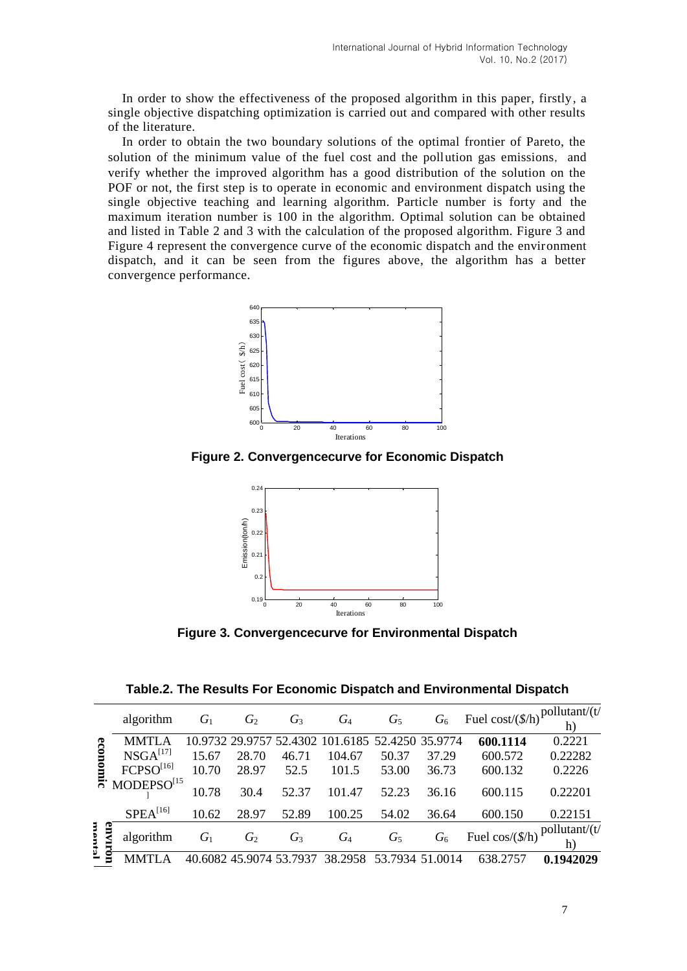In order to show the effectiveness of the proposed algorithm in this paper, firstly, a single objective dispatching optimization is carried out and compared with other results of the literature.

In order to obtain the two boundary solutions of the optimal frontier of Pareto, the solution of the minimum value of the fuel cost and the pollution gas emissions, and verify whether the improved algorithm has a good distribution of the solution on the POF or not, the first step is to operate in economic and environment dispatch using the single objective teaching and learning algorithm. Particle number is forty and the maximum iteration number is 100 in the algorithm. Optimal solution can be obtained and listed in Table 2 and 3 with the calculation of the proposed algorithm. Figure 3 and Figure 4 represent the convergence curve of the economic dispatch and the environment dispatch, and it can be seen from the figures above, the algorithm has a better convergence performance.



**Figure 2. Convergencecurve for Economic Dispatch**



**Figure 3. Convergencecurve for Environmental Dispatch** 

|           |                        |       |                      |       |                                                  |                 | G <sub>6</sub> | Fuel cost/ $(\frac{f}{h})$ <sup>pollutant/(t/</sup> |           |
|-----------|------------------------|-------|----------------------|-------|--------------------------------------------------|-----------------|----------------|-----------------------------------------------------|-----------|
|           | algorithm              | $G_1$ | $G_2$                | $G_3$ | $G_4$                                            | $G_5$           |                |                                                     | h)        |
| ၉         | <b>MMTLA</b>           |       |                      |       | 10.9732 29.9757 52.4302 101.6185 52.4250 35.9774 |                 |                | 600.1114                                            | 0.2221    |
|           | NSGA <sup>[17]</sup>   | 15.67 | 28.70                | 46.71 | 104.67                                           | 50.37           | 37.29          | 600.572                                             | 0.22282   |
|           | $FCPSO^{[16]}$         | 10.70 | 28.97                | 52.5  | 101.5                                            | 53.00           | 36.73          | 600.132                                             | 0.2226    |
| <u>គ្</u> | MODEPSO <sup>[15</sup> | 10.78 | 30.4                 | 52.37 | 101.47                                           | 52.23           | 36.16          | 600.115                                             | 0.22201   |
|           | $SPEA^{[16]}$          | 10.62 | 28.97                | 52.89 | 100.25                                           | 54.02           | 36.64          | 600.150                                             | 0.22151   |
|           | g<br>algorithm         | $G_1$ | $G_2$                | $G_3$ | $G_4$                                            | $G_5$           | $G_6$          | Fuel cos/ $(\frac{f}{h})$ pollutant/ $(t)$          | h)        |
| ₫         |                        |       | 6082 45.9074 53.7937 |       | 38.2958                                          | 53.7934 51.0014 |                | 638.2757                                            | 0.1942029 |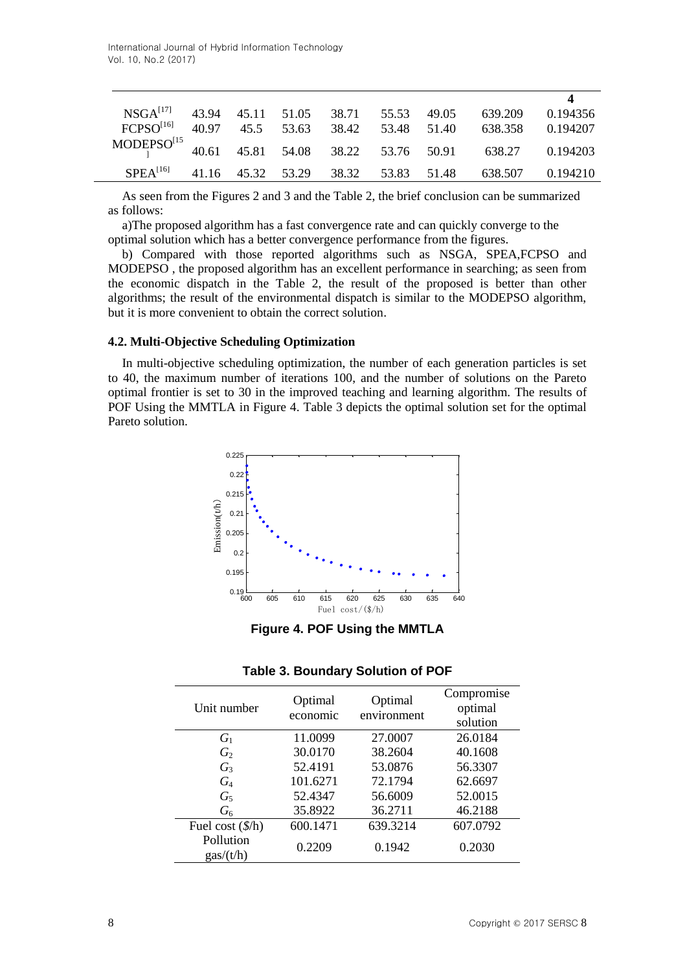|                                                                            |  |  |  | NSGA <sup>[17]</sup> 43.94 45.11 51.05 38.71 55.53 49.05 639.209 0.194356 |  |
|----------------------------------------------------------------------------|--|--|--|---------------------------------------------------------------------------|--|
|                                                                            |  |  |  | FCPSO <sup>[16]</sup> 40.97 45.5 53.63 38.42 53.48 51.40 638.358 0.194207 |  |
| MODEPSO <sup>[15</sup> 40.61 45.81 54.08 38.22 53.76 50.91 638.27 0.194203 |  |  |  |                                                                           |  |
|                                                                            |  |  |  | SPEA <sup>[16]</sup> 41.16 45.32 53.29 38.32 53.83 51.48 638.507 0.194210 |  |

As seen from the Figures 2 and 3 and the Table 2, the brief conclusion can be summarized as follows:

a)The proposed algorithm has a fast convergence rate and can quickly converge to the optimal solution which has a better convergence performance from the figures.

b) Compared with those reported algorithms such as NSGA, SPEA,FCPSO and MODEPSO , the proposed algorithm has an excellent performance in searching; as seen from the economic dispatch in the Table 2, the result of the proposed is better than other algorithms; the result of the environmental dispatch is similar to the MODEPSO algorithm, but it is more convenient to obtain the correct solution.

### **4.2. Multi-Objective Scheduling Optimization**

In multi-objective scheduling optimization, the number of each generation particles is set to 40, the maximum number of iterations 100, and the number of solutions on the Pareto optimal frontier is set to 30 in the improved teaching and learning algorithm. The results of POF Using the MMTLA in Figure 4. Table 3 depicts the optimal solution set for the optimal Pareto solution.



**Figure 4. POF Using the MMTLA**

| Unit number                    | Optimal<br>economic | Optimal<br>environment | Compromise<br>optimal<br>solution |
|--------------------------------|---------------------|------------------------|-----------------------------------|
| $G_1$                          | 11.0099             | 27.0007                | 26.0184                           |
| $G_2$                          | 30.0170             | 38.2604                | 40.1608                           |
| $G_3$                          | 52.4191             | 53.0876                | 56.3307                           |
| $G_4$                          | 101.6271            | 72.1794                | 62.6697                           |
| $G_5$                          | 52.4347             | 56.6009                | 52.0015                           |
| $G_6$                          | 35.8922             | 36.2711                | 46.2188                           |
| Fuel cost $(\frac{f}{h})$      | 600.1471            | 639.3214               | 607.0792                          |
| Pollution<br>$\frac{gas}{t/h}$ | 0.2209              | 0.1942                 | 0.2030                            |

### **Table 3. Boundary Solution of POF**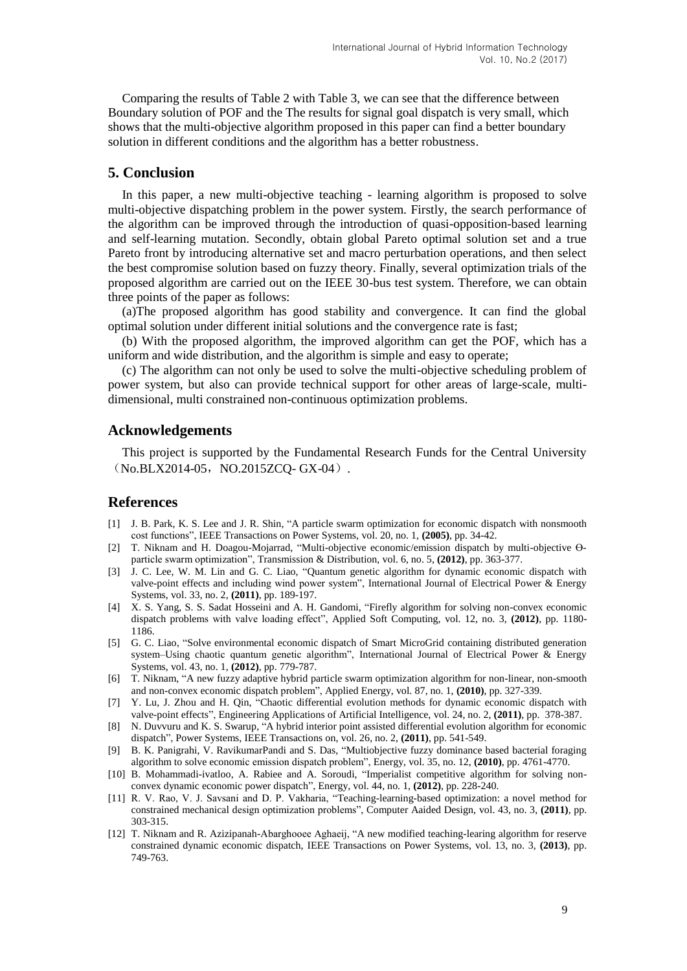Comparing the results of Table 2 with Table 3, we can see that the difference between Boundary solution of POF and the The results for signal goal dispatch is very small, which shows that the multi-objective algorithm proposed in this paper can find a better boundary solution in different conditions and the algorithm has a better robustness.

# **5. Conclusion**

In this paper, a new multi-objective teaching - learning algorithm is proposed to solve multi-objective dispatching problem in the power system. Firstly, the search performance of the algorithm can be improved through the introduction of quasi-opposition-based learning and self-learning mutation. Secondly, obtain global Pareto optimal solution set and a true Pareto front by introducing alternative set and macro perturbation operations, and then select the best compromise solution based on fuzzy theory. Finally, several optimization trials of the proposed algorithm are carried out on the IEEE 30-bus test system. Therefore, we can obtain three points of the paper as follows:

(a)The proposed algorithm has good stability and convergence. It can find the global optimal solution under different initial solutions and the convergence rate is fast;

(b) With the proposed algorithm, the improved algorithm can get the POF, which has a uniform and wide distribution, and the algorithm is simple and easy to operate;

(c) The algorithm can not only be used to solve the multi-objective scheduling problem of power system, but also can provide technical support for other areas of large-scale, multidimensional, multi constrained non-continuous optimization problems.

### **Acknowledgements**

This project is supported by the Fundamental Research Funds for the Central University  $(No.BLX2014-05, NO.2015ZCO-GX-04)$ .

# **References**

- [1] J. B. Park, K. S. Lee and J. R. Shin, "A particle swarm optimization for economic dispatch with nonsmooth cost functions", IEEE Transactions on Power Systems, vol. 20, no. 1, **(2005)**, pp. 34-42.
- [2] T. Niknam and H. Doagou-Mojarrad, "Multi-objective economic/emission dispatch by multi-objective ϴparticle swarm optimization", Transmission & Distribution, vol. 6, no. 5, **(2012)**, pp. 363-377.
- [3] J. C. Lee, W. M. Lin and G. C. Liao, "Quantum genetic algorithm for dynamic economic dispatch with valve-point effects and including wind power system", International Journal of Electrical Power & Energy Systems, vol. 33, no. 2, **(2011)**, pp. 189-197.
- [4] X. S. Yang, S. S. Sadat Hosseini and A. H. Gandomi, "Firefly algorithm for solving non-convex economic dispatch problems with valve loading effect", Applied Soft Computing, vol. 12, no. 3, **(2012)**, pp. 1180- 1186.
- [5] G. C. Liao, "Solve environmental economic dispatch of Smart MicroGrid containing distributed generation system–Using chaotic quantum genetic algorithm", International Journal of Electrical Power & Energy Systems, vol. 43, no. 1, **(2012)**, pp. 779-787.
- [6] T. Niknam, "A new fuzzy adaptive hybrid particle swarm optimization algorithm for non-linear, non-smooth and non-convex economic dispatch problem", Applied Energy, vol. 87, no. 1, **(2010)**, pp. 327-339.
- [7] Y. Lu, J. Zhou and H. Qin, "Chaotic differential evolution methods for dynamic economic dispatch with valve-point effects", Engineering Applications of Artificial Intelligence, vol. 24, no. 2, **(2011)**, pp. 378-387.
- [8] N. Duvvuru and K. S. Swarup, "A hybrid interior point assisted differential evolution algorithm for economic dispatch", Power Systems, IEEE Transactions on, vol. 26, no. 2, **(2011)**, pp. 541-549.
- [9] B. K. Panigrahi, V. RavikumarPandi and S. Das, "Multiobjective fuzzy dominance based bacterial foraging algorithm to solve economic emission dispatch problem", Energy, vol. 35, no. 12, **(2010)**, pp. 4761-4770.
- [10] B. Mohammadi-ivatloo, A. Rabiee and A. Soroudi, "Imperialist competitive algorithm for solving nonconvex dynamic economic power dispatch", Energy, vol. 44, no. 1, **(2012)**, pp. 228-240.
- [11] R. V. Rao, V. J. Savsani and D. P. Vakharia, "Teaching-learning-based optimization: a novel method for constrained mechanical design optimization problems", Computer Aaided Design, vol. 43, no. 3, **(2011)**, pp. 303-315.
- [12] T. Niknam and R. Azizipanah-Abarghooee Aghaeij, "A new modified teaching-learing algorithm for reserve constrained dynamic economic dispatch, IEEE Transactions on Power Systems, vol. 13, no. 3, **(2013)**, pp. 749-763.